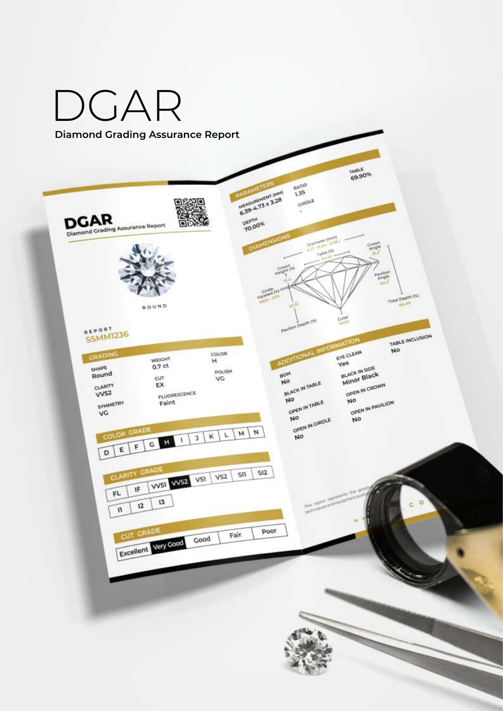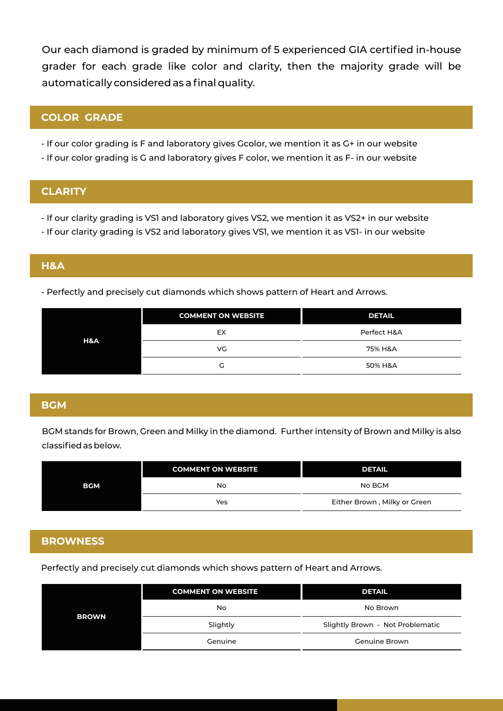Our each diamond is graded by minimum of 5 experienced GIA certified in-house grader for each grade like color and clarity, then the majority grade will be automatically considered as a final quality.

# **COLOR GRADE**

- If our color grading is F and laboratory gives Gcolor, we mention it as G+ in our website
- If our color grading is G and laboratory gives F color, we mention it as F- in our website

### **CLARITY**

- If our clarity grading is VS1 and laboratory gives VS2, we mention it as VS2+ in our website
- If our clarity grading is VS2 and laboratory gives VS1, we mention it as VS1- in our website

# **H&A**

- Perfectly and precisely cut diamonds which shows pattern of Heart and Arrows.

|     | <b>COMMENT ON WEBSITE</b> | <b>DETAIL</b> |
|-----|---------------------------|---------------|
|     | EX                        | Perfect H&A   |
| H&A | VG                        | 75% H&A       |
|     | G                         | 50% H&A       |

### **BGM**

BGM stands for Brown, Green and Milky in the diamond. Further intensity of Brown and Milky is also classified as below.

|            | <b>COMMENT ON WEBSITE</b> | <b>DETAIL</b>                |
|------------|---------------------------|------------------------------|
| <b>BGM</b> | No                        | No BGM                       |
|            | Yes                       | Either Brown, Milky or Green |

### **BROWNESS**

Perfectly and precisely cut diamonds which shows pattern of Heart and Arrows.

| <b>BROWN</b> | <b>COMMENT ON WEBSITE</b> | <b>DETAIL</b>                    |
|--------------|---------------------------|----------------------------------|
|              | No                        | No Brown                         |
|              | Slightly                  | Slightly Brown - Not Problematic |
|              | Genuine                   | Genuine Brown                    |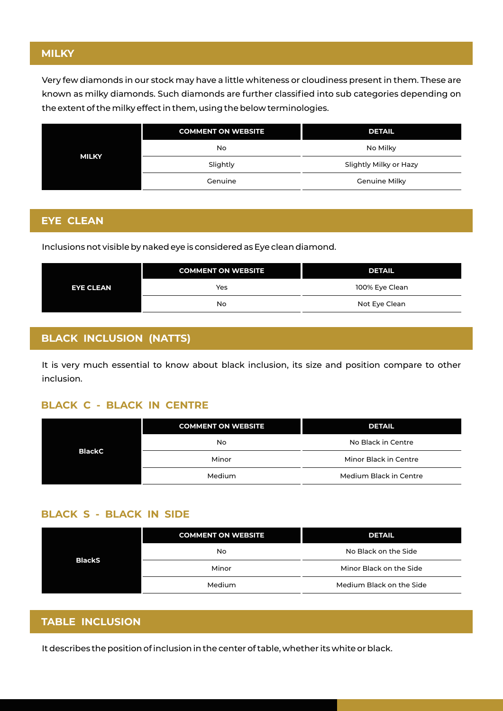## **MILKY**

Very few diamonds in our stock may have a little whiteness or cloudiness present in them. These are known as milky diamonds. Such diamonds are further classified into sub categories depending on the extent of the milky effect in them, using the below terminologies.

|              | <b>COMMENT ON WEBSITE</b> | <b>DETAIL</b>          |
|--------------|---------------------------|------------------------|
|              | No                        | No Milky               |
| <b>MILKY</b> | Slightly                  | Slightly Milky or Hazy |
|              | Genuine                   | <b>Genuine Milky</b>   |

# **EYE CLEAN**

Inclusions not visible by naked eye is considered as Eye clean diamond.

|                  | <b>COMMENT ON WEBSITE</b> | <b>DETAIL</b>  |
|------------------|---------------------------|----------------|
| <b>EYE CLEAN</b> | Yes                       | 100% Eye Clean |
|                  | No.                       | Not Eye Clean  |

# **BLACK INCLUSION (NATTS)**

It is very much essential to know about black inclusion, its size and position compare to other inclusion.

#### **BLACK C - BLACK IN CENTRE**

| <b>BlackC</b> | <b>COMMENT ON WEBSITE</b> | <b>DETAIL</b>          |
|---------------|---------------------------|------------------------|
|               | No                        | No Black in Centre     |
|               | Minor                     | Minor Black in Centre  |
|               | Medium                    | Medium Black in Centre |

## **BLACK S - BLACK IN SIDE**

| <b>BlackS</b> | <b>COMMENT ON WEBSITE</b> | <b>DETAIL</b>            |
|---------------|---------------------------|--------------------------|
|               | No                        | No Black on the Side     |
|               | Minor                     | Minor Black on the Side  |
|               | Medium                    | Medium Black on the Side |

# **TABLE INCLUSION**

It describes the position of inclusion in the center of table, whether its white or black.